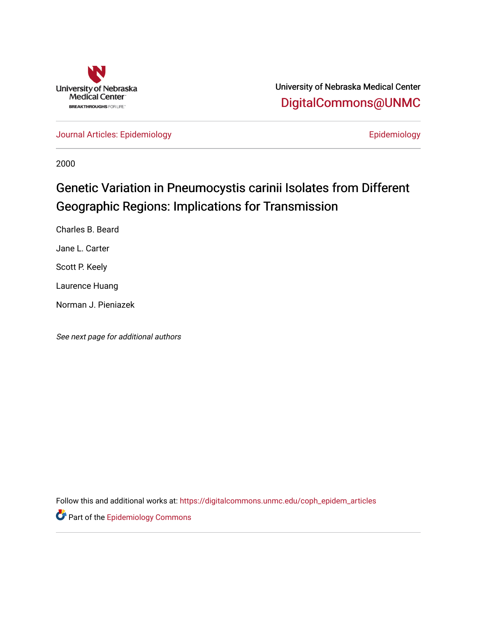

University of Nebraska Medical Center [DigitalCommons@UNMC](https://digitalcommons.unmc.edu/) 

[Journal Articles: Epidemiology](https://digitalcommons.unmc.edu/coph_epidem_articles) **Example 2018** Epidemiology

2000

# Genetic Variation in Pneumocystis carinii Isolates from Different Geographic Regions: Implications for Transmission

Charles B. Beard

Jane L. Carter

Scott P. Keely

Laurence Huang

Norman J. Pieniazek

See next page for additional authors

Follow this and additional works at: [https://digitalcommons.unmc.edu/coph\\_epidem\\_articles](https://digitalcommons.unmc.edu/coph_epidem_articles?utm_source=digitalcommons.unmc.edu%2Fcoph_epidem_articles%2F102&utm_medium=PDF&utm_campaign=PDFCoverPages)

**Part of the Epidemiology Commons**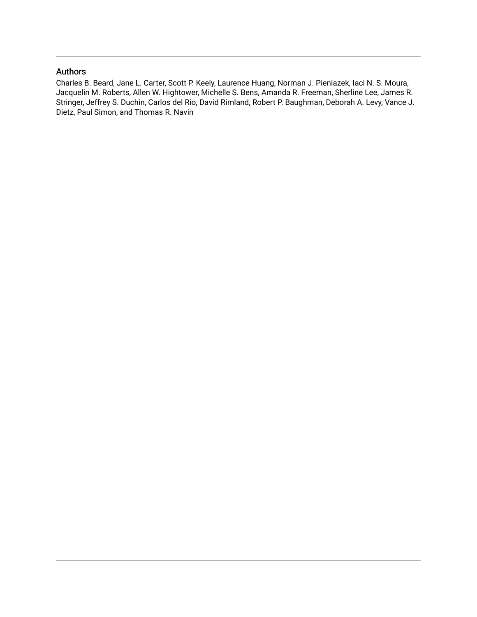# Authors

Charles B. Beard, Jane L. Carter, Scott P. Keely, Laurence Huang, Norman J. Pieniazek, Iaci N. S. Moura, Jacquelin M. Roberts, Allen W. Hightower, Michelle S. Bens, Amanda R. Freeman, Sherline Lee, James R. Stringer, Jeffrey S. Duchin, Carlos del Rio, David Rimland, Robert P. Baughman, Deborah A. Levy, Vance J. Dietz, Paul Simon, and Thomas R. Navin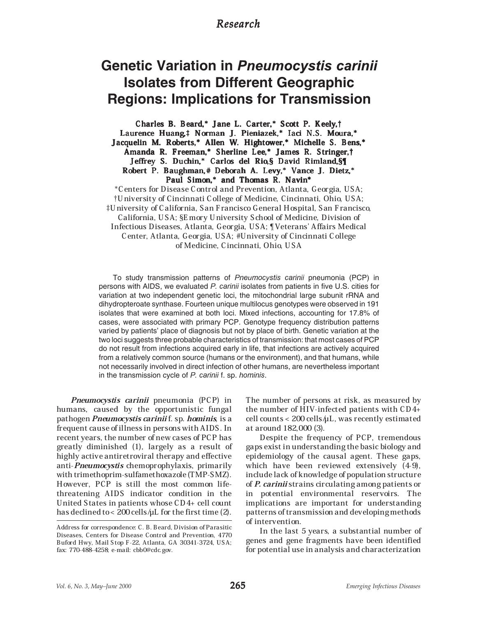# *Research*

# **Genetic Variation in Pneumocystis carinii Isolates from Different Geographic Regions: Implications for Transmission**

Charles B. Beard,\* Jane L. Carter,\* Scott P. Keely,† Laurence Huang,<sup>†</sup> Norman J. Pieniazek,\* Iaci N.S. Moura,\* Jacquelin M. Roberts,\* Allen W. Hightower,\* Michelle S. Bens,\* Amanda R. Freeman,\* Sherline Lee,\* James R. Stringer,† Jeffrey S. Duchin,\* Carlos del Rio,§ David Rimland,§¶ Robert P. Baughman,# Deborah A. Levy,\* Vance J. Dietz,\* Paul Simon,\* and Thomas R. Navin\*

\*Centers for Disease Control and Prevention, Atlanta, Georgia, USA; ²University of Cincinnati College of Medicine, Cincinnati, Ohio, USA; ³University of California, San Francisco General Hospital, San Francisco, California, USA; §Emory University School of Medicine, Division of Infectious Diseases, Atlanta, Georgia, USA; ¶Veterans' Affairs Medical Center, Atlanta, Georgia, USA; #University of Cincinnati College of Medicine, Cincinnati, Ohio, USA

To study transmission patterns of Pneumocystis carinii pneumonia (PCP) in persons with AIDS, we evaluated P. carinii isolates from patients in five U.S. cities for variation at two independent genetic loci, the mitochondrial large subunit rRNA and dihydropteroate synthase. Fourteen unique multilocus genotypes were observed in 191 isolates that were examined at both loci. Mixed infections, accounting for 17.8% of cases, were associated with primary PCP. Genotype frequency distribution patterns varied by patients' place of diagnosis but not by place of birth. Genetic variation at the two loci suggests three probable characteristics of transmission: that most cases of PCP do not result from infections acquired early in life, that infections are actively acquired from a relatively common source (humans or the environment), and that humans, while not necessarily involved in direct infection of other humans, are nevertheless important in the transmission cycle of P. carinii f. sp. hominis.

Pneumocystis carinii pneumonia (PCP) in humans, caused by the opportunistic fungal pathogen *Pneumocystis carinii* f. sp. *hominis*, is a frequent cause of illness in persons with AIDS. In recent years, the number of new cases of PCP has greatly diminished (1), largely as a result of highly active antiretroviral therapy and effective anti-Pneumocystis chemoprophylaxis, primarily with trimethoprim-sulfamethoxazole (TMP-SMZ). However, PCP is still the most common lifethreatening AIDS indicator condition in the United States in patients whose CD4+ cell count has declined to < 200 cells  $\mu$ L for the first time (2).

The number of persons at risk, as measured by the number of HIV-infected patients with CD4+  $cell counts < 200 cells/μL, was recently estimated$ at around 182,000 (3).

Despite the frequency of PCP, tremendous gaps exist in understanding the basic biology and epidemiology of the causal agent. These gaps, which have been reviewed extensively (4-9), include lack of knowledge of population structure of P. carinii strains circulating among patients or in potential environmental reservoirs. The implications are important for understanding patterns of transmission and developing methods of intervention.

In the last 5 years, a substantial number of genes and gene fragments have been identified for potential use in analysis and characterization

Address for correspondence: C. B. Beard, Division of Parasitic Diseases, Centers for Disease Control and Prevention, 4770 Buford Hwy, Mail Stop F-22, Atlanta, GA 30341-3724, USA; fax: 770-488-4258; e-mail: cbb0@cdc.gov.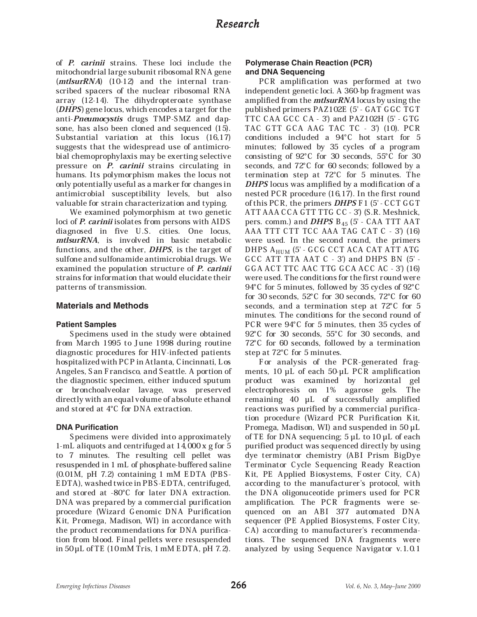of P. carinii strains. These loci include the mitochondrial large subunit ribosomal RNA gene (*mtlsurRNA*) (10-12) and the internal transcribed spacers of the nuclear ribosomal RNA array (12-14). The dihydropteroate synthase (DHPS) gene locus, which encodes a target for the anti-Pneumocystis drugs TMP-SMZ and dapsone, has also been cloned and sequenced (15). Substantial variation at this locus (16,17) suggests that the widespread use of antimicrobial chemoprophylaxis may be exerting selective pressure on *P. carinii* strains circulating in humans. Its polymorphism makes the locus not only potentially useful as a marker for changes in antimicrobial susceptibility levels, but also valuable for strain characterization and typing.

We examined polymorphism at two genetic loci of *P. carinii* isolates from persons with AIDS diagnosed in five U.S. cities. One locus, mtlsurRNA, is involved in basic metabolic functions, and the other, DHPS, is the target of sulfone and sulfonamide antimicrobial drugs. We examined the population structure of P. carinii strains for information that would elucidate their patterns of transmission.

## **Materials and Methods**

## **Patient Samples**

Specimens used in the study were obtained from March 1995 to June 1998 during routine diagnostic procedures for HIV-infected patients hospitalized with PCP in Atlanta, Cincinnati, Los Angeles, San Francisco, and Seattle. A portion of the diagnostic specimen, either induced sputum or bronchoalveolar lavage, was preserved directly with an equal volume of absolute ethanol and stored at 4"C for DNA extraction.

## **DNA Purification**

Specimens were divided into approximately 1-mL aliquots and centrifuged at 14,000 x g for 5 to 7 minutes. The resulting cell pellet was resuspended in 1 mL of phosphate-buffered saline (0.01M, pH 7.2) containing 1 mM EDTA (PBS-EDTA), washed twice in PBS-EDTA, centrifuged, and stored at -80"C for later DNA extraction. DNA was prepared by a commercial purification procedure (Wizard Genomic DNA Purification Kit, Promega, Madison, WI) in accordance with the product recommendations for DNA purification from blood. Final pellets were resuspended in  $50 \mu L$  of TE  $(10 \text{ mM Tris}, 1 \text{ mM EDTA}, \text{ pH } 7.2)$ .

# **Polymerase Chain Reaction (PCR) and DNA Sequencing**

PCR amplification was performed at two independent genetic loci. A 360-bp fragment was amplified from the mtlsurRNA locus by using the published primers PAZ102E (5' - GAT GGC TGT TTC CAA GCC CA - 3 $\degree$ ) and PAZ102H (5' - GTG TAC GTT GCA AAG TAC TC - 3') (10). PCR conditions included a 94"C hot start for 5 minutes; followed by 35 cycles of a program consisting of 92"C for 30 seconds, 55"C for 30 seconds, and 72"C for 60 seconds; followed by a termination step at 72"C for 5 minutes. The DHPS locus was amplified by a modification of a nested PCR procedure (16,17). In the first round of this PCR, the primers  $DHPS$  F1 (5' - CCT GGT) ATT AAA CCA GTT TTG CC - 3') (S.R. Meshnick, pers. comm.) and *DHPS*  $B_{45}$  (5' - CAA TTT AAT AAA TTT CTT TCC AAA TAG CAT C - 3') (16) were used. In the second round, the primers DHPS A<sub>HUM</sub> (5' - GCG CCT ACA CAT ATT ATG GCC ATT TTA AAT  $C - 3$ ) and DHPS BN  $(5' -$ GGA ACT TTC AAC TTG GCA ACC AC - 3') (16) were used. The conditions for the first round were 94"C for 5 minutes, followed by 35 cycles of 92"C for 30 seconds, 52"C for 30 seconds, 72"C for 60 seconds, and a termination step at 72"C for 5 minutes. The conditions for the second round of PCR were 94"C for 5 minutes, then 35 cycles of 92"C for 30 seconds, 55"C for 30 seconds, and 72"C for 60 seconds, followed by a termination step at 72"C for 5 minutes.

For analysis of the PCR-generated fragments,  $10 \mu L$  of each  $50 \mu L$  PCR amplification product was examined by horizontal gel electrophoresis on 1% agarose gels. The remaining  $40$   $\mu$ L of successfully amplified reactions was purified by a commercial purification procedure (Wizard PCR Purification Kit, Promega, Madison, WI) and suspended in  $50 \mu L$ of TE for DNA sequencing;  $5 \mu L$  to  $10 \mu L$  of each purified product was sequenced directly by using dye terminator chemistry (ABI Prism BigDye Terminator Cycle Sequencing Ready Reaction Kit, PE Applied Biosystems, Foster City, CA) according to the manufacturer's protocol, with the DNA oligonuceotide primers used for PCR amplification. The PCR fragments were sequenced on an ABI 377 automated DNA sequencer (PE Applied Biosystems, Foster City, CA) according to manufacturer's recommendations. The sequenced DNA fragments were analyzed by using Sequence Navigator v.1.0.1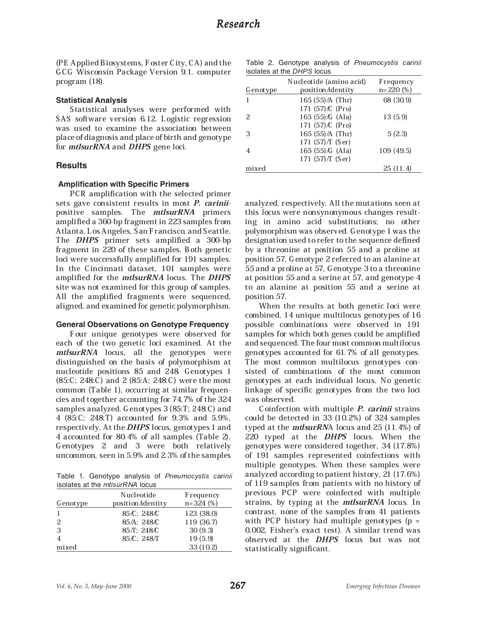(PE Applied Biosystems, Foster City, CA) and the GCG Wisconsin Package Version 9.1. computer program (18).

#### **Statistical Analysis**

Statistical analyses were performed with SAS software version 6.12. Logistic regression was used to examine the association between place of diagnosis and place of birth and genotype for *mtlsurRNA* and *DHPS* gene loci.

#### **Results**

#### **Amplification with Specific Primers**

PCR amplification with the selected primer sets gave consistent results in most *P. carinii*positive samples. The *mtlsurRNA* primers amplified a 360-bp fragment in 223 samples from Atlanta, Los Angeles, San Francisco, and Seattle. The DHPS primer sets amplified a 300-bp fragment in 220 of these samples. Both genetic loci were successfully amplified for 191 samples. In the Cincinnati dataset, 101 samples were amplified for the mtlsurRNA locus. The DHPS site was not examined for this group of samples. All the amplified fragments were sequenced, aligned, and examined for genetic polymorphism.

#### **General Observations on Genotype Frequency**

Four unique genotypes were observed for each of the two genetic loci examined. At the mtlsurRNA locus, all the genotypes were distinguished on the basis of polymorphism at nucleotide positions 85 and 248. Genotypes 1 (85:C; 248:C) and 2 (85:A; 248:C) were the most common (Table 1), occurring at similar frequencies and together accounting for 74.7% of the 324 samples analyzed. Genotypes 3 (85:T; 248:C) and 4 (85:C; 248:T) accounted for 9.3% and 5.9%, respectively. At the DHPS locus, genotypes 1 and 4 accounted for 80.4% of all samples (Table 2). Genotypes 2 and 3 were both relatively uncommon, seen in 5.9% and 2.3% of the samples

Table 1. Genotype analysis of Pneumocystis carinii isolates at the *mtlsurRNA* locus

| Genotype | Nucleotide<br>position/identity | <b>F</b> requency<br>$n=324(%)$ |
|----------|---------------------------------|---------------------------------|
|          | 85/C; 248/C                     | 123 (38.0)                      |
| 2        | 85/A: 248/C                     | 119 (36.7)                      |
| 3        | 85/T; 248/C                     | 30(9.3)                         |
|          | 85/C; 248/T                     | 19(5.9)                         |
| mixed    |                                 | 33(10.2)                        |

|  |                            |  | Table 2. Genotype analysis of Pneumocystis carinii |  |
|--|----------------------------|--|----------------------------------------------------|--|
|  | isolates at the DHPS locus |  |                                                    |  |

| Genotype | Nucleotide (amino acid)<br>position/identity | Frequency<br>$n=220(%)$ |
|----------|----------------------------------------------|-------------------------|
|          | $165(55)/A$ (Thr)                            | 68 (30.9)               |
|          | 171 (57) C (Pro)                             |                         |
| 2.       | 165 $(55)\sqrt{G}$ (Ala)                     | 13 (5.9)                |
|          | 171 (57) C (Pro)                             |                         |
| 3        | 165 (55) / A (Thr)                           | 5(2.3)                  |
|          | 171 $(57)/T$ (Ser)                           |                         |
|          | 165(55)/G(Ala)                               | 109 (49.5)              |
|          | 171 (57) / [ (Ser)                           |                         |
| mixed    |                                              | 25(11.4)                |

analyzed, respectively. All the mutations seen at this locus were nonsynonymous changes resulting in amino acid substitutions; no other polymorphism was observed. Genotype 1 was the designation used to refer to the sequence defined by a threonine at position 55 and a proline at position 57. Genotype 2 referred to an alanine at 55 and a proline at 57, Genotype 3 to a threonine at position 55 and a serine at 57, and genotype 4 to an alanine at position 55 and a serine at position 57.

When the results at both genetic loci were combined, 14 unique multilocus genotypes of 16 possible combinations were observed in 191 samples for which both genes could be amplified and sequenced. The four most common multilocus genotypes accounted for 61.7% of all genotypes. The most common multilocus genotypes consisted of combinations of the most common genotypes at each individual locus. No genetic linkage of specific genotypes from the two loci was observed.

Coinfection with multiple *P. carinii* strains could be detected in 33 (10.2%) of 324 samples typed at the  $mtsurrRNA$  locus and 25 (11.4%) of 220 typed at the **DHPS** locus. When the genotypes were considered together, 34 (17.8%) of 191 samples represented coinfections with multiple genotypes. When these samples were analyzed according to patient history, 21 (17.6%) of 119 samples from patients with no history of previous PCP were coinfected with multiple strains, by typing at the *mtlsurRNA* locus. In contrast, none of the samples from 41 patients with PCP history had multiple genotypes  $(p =$ 0.002, Fisher's exact test). A similar trend was observed at the DHPS locus but was not statistically significant.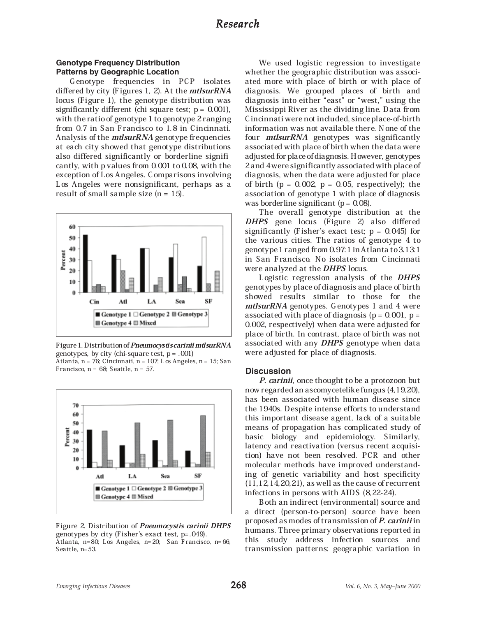# **Genotype Frequency Distribution Patterns by Geographic Location**

Genotype frequencies in PCP isolates differed by city (Figures 1, 2). At the *mtlsurRNA* locus (Figure 1), the genotype distribution was significantly different (chi-square test;  $p = 0.001$ ), with the ratio of genotype 1 to genotype 2 ranging from 0.7 in San Francisco to 1.8 in Cincinnati. Analysis of the mtlsurRNA genotype frequencies at each city showed that genotype distributions also differed significantly or borderline significantly, with p values from 0.001 to 0.08, with the exception of Los Angeles. Comparisons involving Los Angeles were nonsignificant, perhaps as a result of small sample size (n = 15).



Figure 1. Distribution of Pneumocystis cariniimtlsurRNA genotypes, by city (chi-square test,  $p = .001$ ) Atlanta, n = 76; Cincinnati, n = 107; Los Angeles, n = 15; San Francisco,  $n = 68$ ; Seattle,  $n = 57$ .



Figure 2. Distribution of Pneumocystis carinii DHPS genotypes by city (Fisher's exact test, p=.049). Atlanta, n=80; Los Angeles, n=20; San Francisco, n=66; Seattle, n=53.

We used logistic regression to investigate whether the geographic distribution was associated more with place of birth or with place of diagnosis. We grouped places of birth and diagnosis into either "east" or "west," using the Mississippi River as the dividing line. Data from Cincinnati were not included, since place-of-birth information was not available there. None of the four *mtlsurRNA* genotypes was significantly associated with place of birth when the data were adjusted for place of diagnosis. However, genotypes 2 and 4 were significantly associated with place of diagnosis, when the data were adjusted for place of birth ( $p = 0.002$ ,  $p = 0.05$ , respectively); the association of genotype 1 with place of diagnosis was borderline significant ( $p = 0.08$ ).

The overall genotype distribution at the DHPS gene locus (Figure 2) also differed significantly (Fisher's exact test;  $p = 0.045$ ) for the various cities. The ratios of genotype 4 to genotype 1 ranged from 0.97:1 in Atlanta to 3.13:1 in San Francisco. No isolates from Cincinnati were analyzed at the DHPS locus.

Logistic regression analysis of the DHPS genotypes by place of diagnosis and place of birth showed results similar to those for the mtlsurRNA genotypes. Genotypes 1 and 4 were associated with place of diagnosis ( $p = 0.001$ ,  $p =$ 0.002, respectively) when data were adjusted for place of birth. In contrast, place of birth was not associated with any DHPS genotype when data were adjusted for place of diagnosis.

#### **Discussion**

P. carinii, once thought to be a protozoon but now regarded an ascomycetelike fungus (4,19,20), has been associated with human disease since the 1940s. Despite intense efforts to understand this important disease agent, lack of a suitable means of propagation has complicated study of basic biology and epidemiology. Similarly, latency and reactivation (versus recent acquisition) have not been resolved. PCR and other molecular methods have improved understanding of genetic variability and host specificity (11,12,14,20,21), as well as the cause of recurrent infections in persons with AIDS (8,22-24).

Both an indirect (environmental) source and a direct (person-to-person) source have been proposed as modes of transmission of P. carinii in humans. Three primary observations reported in this study address infection sources and transmission patterns: geographic variation in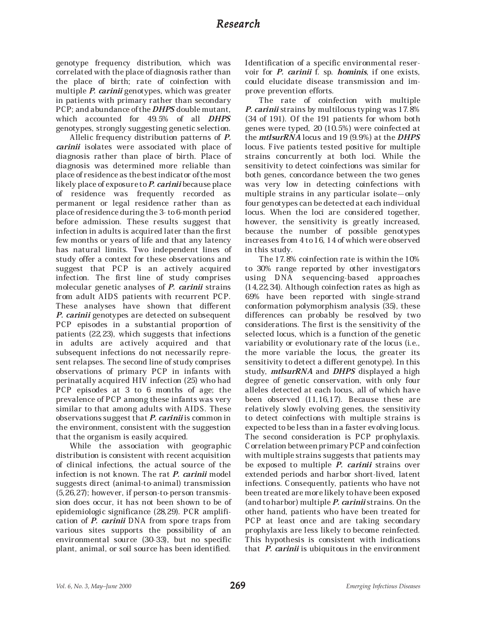# *Research*

genotype frequency distribution, which was correlated with the place of diagnosis rather than the place of birth; rate of coinfection with multiple *P. carinii* genotypes, which was greater in patients with primary rather than secondary PCP; and abundance of the **DHPS** double mutant, which accounted for 49.5% of all **DHPS** genotypes, strongly suggesting genetic selection.

Allelic frequency distribution patterns of P. carinii isolates were associated with place of diagnosis rather than place of birth. Place of diagnosis was determined more reliable than place of residence as the best indicator of the most likely place of exposure to  $P$ . carinii because place of residence was frequently recorded as permanent or legal residence rather than as place of residence during the 3- to 6-month period before admission. These results suggest that infection in adults is acquired later than the first few months or years of life and that any latency has natural limits. Two independent lines of study offer a context for these observations and suggest that PCP is an actively acquired infection. The first line of study comprises molecular genetic analyses of *P. carinii* strains from adult AIDS patients with recurrent PCP. These analyses have shown that different P. carinii genotypes are detected on subsequent PCP episodes in a substantial proportion of patients (22,23), which suggests that infections in adults are actively acquired and that subsequent infections do not necessarily represent relapses. The second line of study comprises observations of primary PCP in infants with perinatally acquired HIV infection (25) who had PCP episodes at 3 to 6 months of age; the prevalence of PCP among these infants was very similar to that among adults with AIDS. These observations suggest that  $P$ . carinii is common in the environment, consistent with the suggestion that the organism is easily acquired.

While the association with geographic distribution is consistent with recent acquisition of clinical infections, the actual source of the infection is not known. The rat *P. carinii* model suggests direct (animal-to-animal) transmission (5,26,27); however, if person-to-person transmission does occur, it has not been shown to be of epidemiologic significance (28,29). PCR amplification of P. carinii DNA from spore traps from various sites supports the possibility of an environmental source (30-33), but no specific plant, animal, or soil source has been identified.

Identification of a specific environmental reservoir for P. carinii f. sp. hominis, if one exists, could elucidate disease transmission and improve prevention efforts.

The rate of coinfection with multiple P. carinii strains by multilocus typing was 17.8% (34 of 191). Of the 191 patients for whom both genes were typed, 20 (10.5%) were coinfected at the *mtlsurRNA* locus and 19 (9.9%) at the *DHPS* locus. Five patients tested positive for multiple strains concurrently at both loci. While the sensitivity to detect coinfections was similar for both genes, concordance between the two genes was very low in detecting coinfections with multiple strains in any particular isolate $-\text{only}$ four genotypes can be detected at each individual locus. When the loci are considered together, however, the sensitivity is greatly increased, because the number of possible genotypes increases from 4 to 16, 14 of which were observed in this study.

The 17.8% coinfection rate is within the 10% to 30% range reported by other investigators using DNA sequencing-based approaches (14,22,34). Although coinfection rates as high as 69% have been reported with single-strand conformation polymorphism analysis (35), these differences can probably be resolved by two considerations. The first is the sensitivity of the selected locus, which is a function of the genetic variability or evolutionary rate of the locus (i.e., the more variable the locus, the greater its sensitivity to detect a different genotype). In this study, *mtlsurRNA* and *DHPS* displayed a high degree of genetic conservation, with only four alleles detected at each locus, all of which have been observed (11,16,17). Because these are relatively slowly evolving genes, the sensitivity to detect coinfections with multiple strains is expected to be less than in a faster evolving locus. The second consideration is PCP prophylaxis. Correlation between primary PCP and coinfection with multiple strains suggests that patients may be exposed to multiple *P. carinii* strains over extended periods and harbor short-lived, latent infections. Consequently, patients who have not been treated are more likely to have been exposed (and to harbor) multiple  $P$ . carinii strains. On the other hand, patients who have been treated for PCP at least once and are taking secondary prophylaxis are less likely to become reinfected. This hypothesis is consistent with indications that  $P$ . *carinii* is ubiquitous in the environment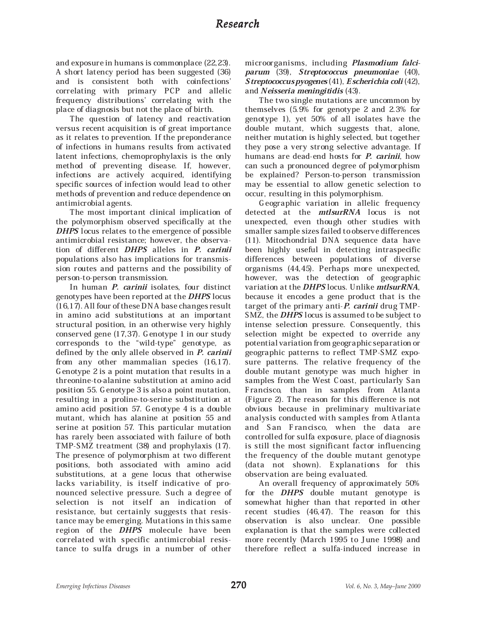and exposure in humans is commonplace (22,23). A short latency period has been suggested (36) and is consistent both with coinfections' correlating with primary PCP and allelic frequency distributions' correlating with the place of diagnosis but not the place of birth.

The question of latency and reactivation versus recent acquisition is of great importance as it relates to prevention. If the preponderance of infections in humans results from activated latent infections, chemoprophylaxis is the only method of preventing disease. If, however, infections are actively acquired, identifying specific sources of infection would lead to other methods of prevention and reduce dependence on antimicrobial agents.

The most important clinical implication of the polymorphism observed specifically at the DHPS locus relates to the emergence of possible antimicrobial resistance; however, the observation of different DHPS alleles in P. carinii populations also has implications for transmission routes and patterns and the possibility of person-to-person transmission.

In human *P. carinii* isolates, four distinct genotypes have been reported at the DHPS locus (16,17). All four of these DNA base changes result in amino acid substitutions at an important structural position, in an otherwise very highly conserved gene (17,37). Genotype 1 in our study corresponds to the ªwild-typeº genotype, as defined by the only allele observed in *P. carinii* from any other mammalian species (16,17). Genotype 2 is a point mutation that results in a threonine-to-alanine substitution at amino acid position 55. Genotype 3 is also a point mutation, resulting in a proline-to-serine substitution at amino acid position 57. Genotype 4 is a double mutant, which has alanine at position 55 and serine at position 57. This particular mutation has rarely been associated with failure of both TMP-SMZ treatment (38) and prophylaxis (17). The presence of polymorphism at two different positions, both associated with amino acid substitutions, at a gene locus that otherwise lacks variability, is itself indicative of pronounced selective pressure. Such a degree of selection is not itself an indication of resistance, but certainly suggests that resistance may be emerging. Mutations in this same region of the DHPS molecule have been correlated with specific antimicrobial resistance to sulfa drugs in a number of other

microorganisms, including Plasmodium falciparum (39), Streptococcus pneumoniae (40), Streptococcus pyogenes (41), Escherichia coli (42), and Neisseria meningitidis (43).

The two single mutations are uncommon by themselves (5.9% for genotype 2 and 2.3% for genotype 1), yet 50% of all isolates have the double mutant, which suggests that, alone, neither mutation is highly selected, but together they pose a very strong selective advantage. If humans are dead-end hosts for *P. carinii*, how can such a pronounced degree of polymorphism be explained? Person-to-person transmission may be essential to allow genetic selection to occur, resulting in this polymorphism.

Geographic variation in allelic frequency detected at the mtlsurRNA locus is not unexpected, even though other studies with smaller sample sizes failed to observe differences (11). Mitochondrial DNA sequence data have been highly useful in detecting intraspecific differences between populations of diverse organisms (44,45). Perhaps more unexpected, however, was the detection of geographic variation at the DHPS locus. Unlike mtlsurRNA, because it encodes a gene product that is the target of the primary anti- $P$ . carinii drug TMP-SMZ, the **DHPS** locus is assumed to be subject to intense selection pressure. Consequently, this selection might be expected to override any potential variation from geographic separation or geographic patterns to reflect TMP-SMZ exposure patterns. The relative frequency of the double mutant genotype was much higher in samples from the West Coast, particularly San Francisco, than in samples from Atlanta (Figure 2). The reason for this difference is not obvious because in preliminary multivariate analysis conducted with samples from Atlanta and San Francisco, when the data are controlled for sulfa exposure, place of diagnosis is still the most significant factor influencing the frequency of the double mutant genotype (data not shown). Explanations for this observation are being evaluated.

An overall frequency of approximately 50% for the DHPS double mutant genotype is somewhat higher than that reported in other recent studies (46,47). The reason for this observation is also unclear. One possible explanation is that the samples were collected more recently (March 1995 to June 1998) and therefore reflect a sulfa-induced increase in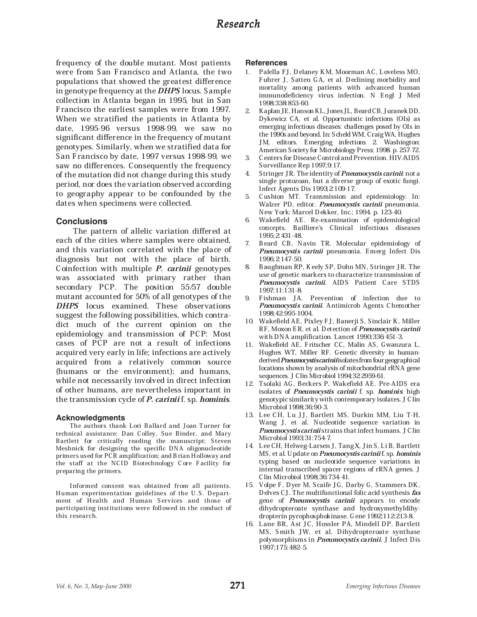# *Research*

frequency of the double mutant. Most patients were from San Francisco and Atlanta, the two populations that showed the greatest difference in genotype frequency at the DHPS locus. Sample collection in Atlanta began in 1995, but in San Francisco the earliest samples were from 1997. When we stratified the patients in Atlanta by date, 1995-96 versus 1998-99, we saw no significant difference in the frequency of mutant genotypes. Similarly, when we stratified data for San Francisco by date, 1997 versus 1998-99, we saw no differences. Consequently the frequency of the mutation did not change during this study period, nor does the variation observed according to geography appear to be confounded by the dates when specimens were collected.

## **Conclusions**

 The pattern of allelic variation differed at each of the cities where samples were obtained, and this variation correlated with the place of diagnosis but not with the place of birth. Coinfection with multiple P. carinii genotypes was associated with primary rather than secondary PCP. The position 55/57 double mutant accounted for 50% of all genotypes of the DHPS locus examined. These observations suggest the following possibilities, which contradict much of the current opinion on the epidemiology and transmission of PCP: Most cases of PCP are not a result of infections acquired very early in life; infections are actively acquired from a relatively common source (humans or the environment); and humans, while not necessarily involved in direct infection of other humans, are nevertheless important in the transmission cycle of *P. cariniif.* sp. *hominis.* 

## **Acknowledgments**

The authors thank Lori Ballard and Joan Turner for technical assistance; Dan Colley, Sue Binder, and Mary Bartlett for critically reading the manuscript; Steven Meshnick for designing the specific DNA oligonucleotide primers used for PCR amplification; and Brian Holloway and the staff at the NCID Biotechnology Core Facility for preparing the primers.

Informed consent was obtained from all patients. Human experimentation guidelines of the U.S. Department of Health and Human Services and those of participating institutions were followed in the conduct of this research.

#### **References**

- 1. Palella FJ, Delaney KM, Moorman AC, Loveless MO, Fuhrer J, Satten GA, et al. Declining morbidity and mortality among patients with advanced human immunodeficiency virus infection. N Engl J Med 1998;338:853-60.
- 2. Kaplan JE, Hanson KL, Jones JL, Beard CB, Juranek DD, Dykewicz CA, et al. Opportunistic infections (OIs) as emerging infectious diseases: challenges posed by OIs in the 1990s and beyond. In: Scheld WM, Craig WA, Hughes JM, editors. Emerging infections 2. Washington: American Society for Microbiology Press; 1998. p. 257-72.
- 3. Centers for Disease Control and Prevention. HIV/AIDS Surveillance Rep 1997;9:17.
- 4. Stringer JR. The identity of *Pneumocystis carinii*: not a single protozoan, but a diverse group of exotic fungi. Infect Agents Dis 1993;2:109-17.
- 5. Cushion MT. Transmission and epidemiology. In: Walzer PD, editor. Pneumocystis carinii pneumonia. New York: Marcel Dekker, Inc.; 1994. p. 123-40.
- 6. Wakefield AE. Re-examination of epidemiological concepts. Bailliere's Clinical infectious diseases 1995;2:431-48.
- 7. Beard CB, Navin TR. Molecular epidemiology of Pneumocystis carinii pneumonia. Emerg Infect Dis 1996;2:147-50.
- 8. Baughman RP, Keely SP, Dohn MN, Stringer JR. The use of genetic markers to characterize transmission of Pneumocystis carinii. AIDS Patient Care STDS 1997;11:131-8.
- 9. Fishman JA. Prevention of infection due to Pneumocystis carinii. Antimicrob Agents Chemother 1998;42:995-1004.
- 10. Wakefield AE, Pixley FJ, Banerji S, Sinclair K, Miller RF, Moxon ER, et al. Detection of Pneumocystis carinii with DNA amplification. Lancet 1990;336:451-3.
- 11. Wakefield AE, Fritscher CC, Malin AS, Gwanzura L, Hughes WT, Miller RF. Genetic diversity in humanderived Pneumocystis carinii isolates from four geographical locations shown by analysis of mitochondrial rRNA gene sequences. J Clin Microbiol 1994;32:2959-61.
- 12. Tsolaki AG, Beckers P, Wakefield AE. Pre-AIDS era isolates of Pneumocystis carinii f. sp. hominis. high genotypic similarity with contemporary isolates. J Clin Microbiol 1998;36:90-3.
- 13. Lee CH, Lu JJ, Bartlett MS, Durkin MM, Liu T-H, Wang J, et al. Nucleotide sequence variation in Pneumocystis carinii strains that infect humans. J Clin Microbiol 1993;31:754-7.
- 14. Lee CH, Helweg-Larsen J, Tang X, Jin S, Li B, Bartlett MS, et al. Update on *Pneumocystis cariniif.* sp. *hominis* typing based on nucleotide sequence variations in internal transcribed spacer regions of rRNA genes. J Clin Microbiol 1998;36:734-41.
- 15. Volpe F, Dyer M, Scaife JG, Darby G, Stammers DK, Delves CJ. The multifunctional folic acid synthesis fas gene of Pneumocystis carinii appears to encode dihydropteroate synthase and hydroxymethyldihydropterin pyrophosphokinase. Gene 1992;112:213-8.
- 16. Lane BR, Ast JC, Hossler PA, Mindell DP, Bartlett MS, Smith JW, et al. Dihydropteroate synthase polymorphisms in Pneumocystis carinii. J Infect Dis 1997;175:482-5.